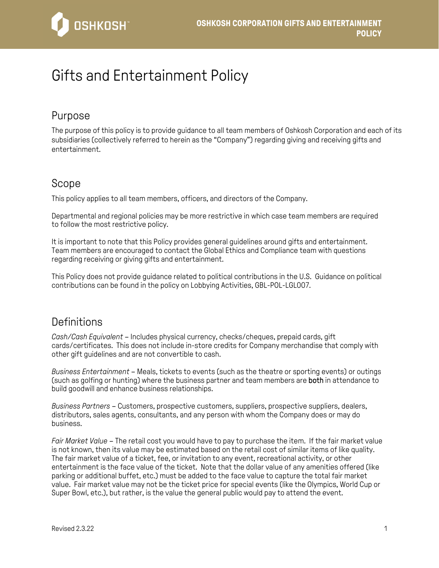

# Gifts and Entertainment Policy

# Purpose

The purpose of this policy is to provide guidance to all team members of Oshkosh Corporation and each of its subsidiaries (collectively referred to herein as the "Company") regarding giving and receiving gifts and entertainment.

# Scope

This policy applies to all team members, officers, and directors of the Company.

Departmental and regional policies may be more restrictive in which case team members are required to follow the most restrictive policy.

It is important to note that this Policy provides general guidelines around gifts and entertainment. Team members are encouraged to contact the Global Ethics and Compliance team with questions regarding receiving or giving gifts and entertainment.

This Policy does not provide guidance related to political contributions in the U.S. Guidance on political contributions can be found in the policy on Lobbying Activities, GBL-POL-LGL007.

# **Definitions**

*Cash/Cash Equivalent* – Includes physical currency, checks/cheques, prepaid cards, gift cards/certificates. This does not include in-store credits for Company merchandise that comply with other gift guidelines and are not convertible to cash.

*Business Entertainment* – Meals, tickets to events (such as the theatre or sporting events) or outings (such as golfing or hunting) where the business partner and team members are both in attendance to build goodwill and enhance business relationships.

*Business Partners* – Customers, prospective customers, suppliers, prospective suppliers, dealers, distributors, sales agents, consultants, and any person with whom the Company does or may do business.

*Fair Market Value* – The retail cost you would have to pay to purchase the item. If the fair market value is not known, then its value may be estimated based on the retail cost of similar items of like quality. The fair market value of a ticket, fee, or invitation to any event, recreational activity, or other entertainment is the face value of the ticket. Note that the dollar value of any amenities offered (like parking or additional buffet, etc.) must be added to the face value to capture the total fair market value. Fair market value may not be the ticket price for special events (like the Olympics, World Cup or Super Bowl, etc.), but rather, is the value the general public would pay to attend the event.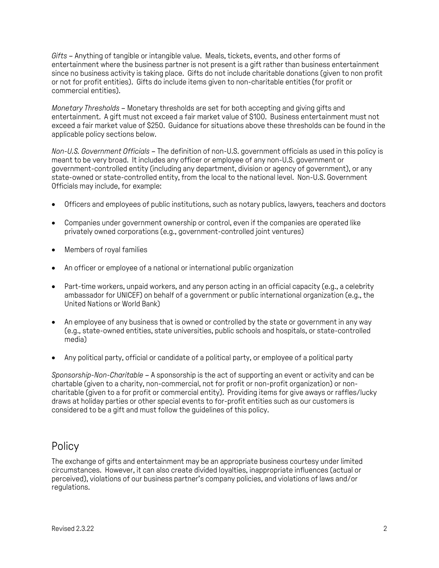*Gifts* – Anything of tangible or intangible value. Meals, tickets, events, and other forms of entertainment where the business partner is not present is a gift rather than business entertainment since no business activity is taking place. Gifts do not include charitable donations (given to non profit or not for profit entities). Gifts do include items given to non-charitable entities (for profit or commercial entities).

*Monetary Thresholds* – Monetary thresholds are set for both accepting and giving gifts and entertainment. A gift must not exceed a fair market value of \$100. Business entertainment must not exceed a fair market value of \$250. Guidance for situations above these thresholds can be found in the applicable policy sections below.

*Non-U.S. Government Officials* – The definition of non-U.S. government officials as used in this policy is meant to be very broad. It includes any officer or employee of any non-U.S. government or government-controlled entity (including any department, division or agency of government), or any state-owned or state-controlled entity, from the local to the national level. Non-U.S. Government Officials may include, for example:

- Officers and employees of public institutions, such as notary publics, lawyers, teachers and doctors
- Companies under government ownership or control, even if the companies are operated like privately owned corporations (e.g., government-controlled joint ventures)
- Members of royal families
- An officer or employee of a national or international public organization
- Part-time workers, unpaid workers, and any person acting in an official capacity (e.g., a celebrity ambassador for UNICEF) on behalf of a government or public international organization (e.g., the United Nations or World Bank)
- An employee of any business that is owned or controlled by the state or government in any way (e.g., state-owned entities, state universities, public schools and hospitals, or state-controlled media)
- Any political party, official or candidate of a political party, or employee of a political party

*Sponsorship-Non-Charitable* – A sponsorship is the act of supporting an event or activity and can be chartable (given to a charity, non-commercial, not for profit or non-profit organization) or noncharitable (given to a for profit or commercial entity). Providing items for give aways or raffles/lucky draws at holiday parties or other special events to for-profit entities such as our customers is considered to be a gift and must follow the guidelines of this policy.

# **Policy**

The exchange of gifts and entertainment may be an appropriate business courtesy under limited circumstances. However, it can also create divided loyalties, inappropriate influences (actual or perceived), violations of our business partner's company policies, and violations of laws and/or regulations.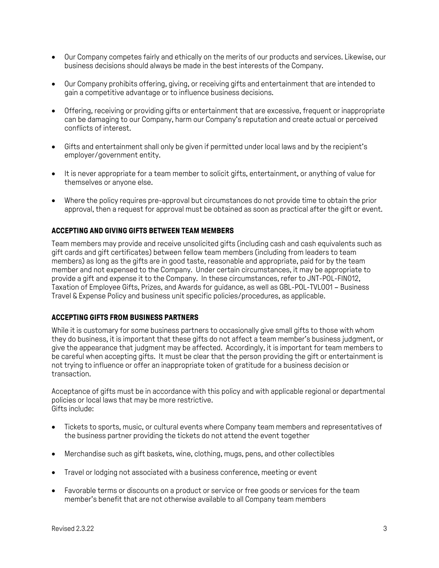- Our Company competes fairly and ethically on the merits of our products and services. Likewise, our business decisions should always be made in the best interests of the Company.
- Our Company prohibits offering, giving, or receiving gifts and entertainment that are intended to gain a competitive advantage or to influence business decisions.
- Offering, receiving or providing gifts or entertainment that are excessive, frequent or inappropriate can be damaging to our Company, harm our Company's reputation and create actual or perceived conflicts of interest.
- Gifts and entertainment shall only be given if permitted under local laws and by the recipient's employer/government entity.
- It is never appropriate for a team member to solicit gifts, entertainment, or anything of value for themselves or anyone else.
- Where the policy requires pre-approval but circumstances do not provide time to obtain the prior approval, then a request for approval must be obtained as soon as practical after the gift or event.

## **ACCEPTING AND GIVING GIFTS BETWEEN TEAM MEMBERS**

Team members may provide and receive unsolicited gifts (including cash and cash equivalents such as gift cards and gift certificates) between fellow team members (including from leaders to team members) as long as the gifts are in good taste, reasonable and appropriate, paid for by the team member and not expensed to the Company. Under certain circumstances, it may be appropriate to provide a gift and expense it to the Company. In these circumstances, refer to JNT-POL-FIN012, Taxation of Employee Gifts, Prizes, and Awards for guidance, as well as GBL-POL-TVL001 – Business Travel & Expense Policy and business unit specific policies/procedures, as applicable.

#### **ACCEPTING GIFTS FROM BUSINESS PARTNERS**

While it is customary for some business partners to occasionally give small gifts to those with whom they do business, it is important that these gifts do not affect a team member's business judgment, or give the appearance that judgment may be affected. Accordingly, it is important for team members to be careful when accepting gifts. It must be clear that the person providing the gift or entertainment is not trying to influence or offer an inappropriate token of gratitude for a business decision or transaction.

Acceptance of gifts must be in accordance with this policy and with applicable regional or departmental policies or local laws that may be more restrictive. Gifts include:

- Tickets to sports, music, or cultural events where Company team members and representatives of the business partner providing the tickets do not attend the event together
- Merchandise such as gift baskets, wine, clothing, mugs, pens, and other collectibles
- Travel or lodging not associated with a business conference, meeting or event
- Favorable terms or discounts on a product or service or free goods or services for the team member's benefit that are not otherwise available to all Company team members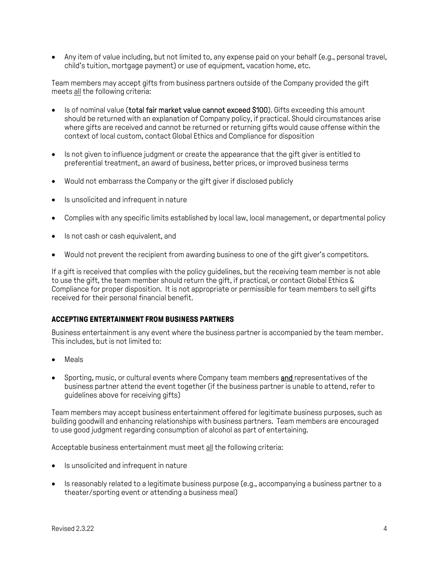Any item of value including, but not limited to, any expense paid on your behalf (e.g., personal travel, child's tuition, mortgage payment) or use of equipment, vacation home, etc.

Team members may accept gifts from business partners outside of the Company provided the gift meets all the following criteria:

- Is of nominal value (total fair market value cannot exceed \$100). Gifts exceeding this amount should be returned with an explanation of Company policy, if practical. Should circumstances arise where gifts are received and cannot be returned or returning gifts would cause offense within the context of local custom, contact Global Ethics and Compliance for disposition
- Is not given to influence judgment or create the appearance that the gift giver is entitled to preferential treatment, an award of business, better prices, or improved business terms
- Would not embarrass the Company or the gift giver if disclosed publicly
- Is unsolicited and infrequent in nature
- Complies with any specific limits established by local law, local management, or departmental policy
- Is not cash or cash equivalent, and
- Would not prevent the recipient from awarding business to one of the gift giver's competitors.

If a gift is received that complies with the policy guidelines, but the receiving team member is not able to use the gift, the team member should return the gift, if practical, or contact Global Ethics & Compliance for proper disposition. It is not appropriate or permissible for team members to sell gifts received for their personal financial benefit.

#### **ACCEPTING ENTERTAINMENT FROM BUSINESS PARTNERS**

Business entertainment is any event where the business partner is accompanied by the team member. This includes, but is not limited to:

- Meals
- Sporting, music, or cultural events where Company team members and representatives of the business partner attend the event together (if the business partner is unable to attend, refer to guidelines above for receiving gifts)

Team members may accept business entertainment offered for legitimate business purposes, such as building goodwill and enhancing relationships with business partners. Team members are encouraged to use good judgment regarding consumption of alcohol as part of entertaining.

Acceptable business entertainment must meet all the following criteria:

- Is unsolicited and infrequent in nature
- Is reasonably related to a legitimate business purpose (e.g., accompanying a business partner to a theater/sporting event or attending a business meal)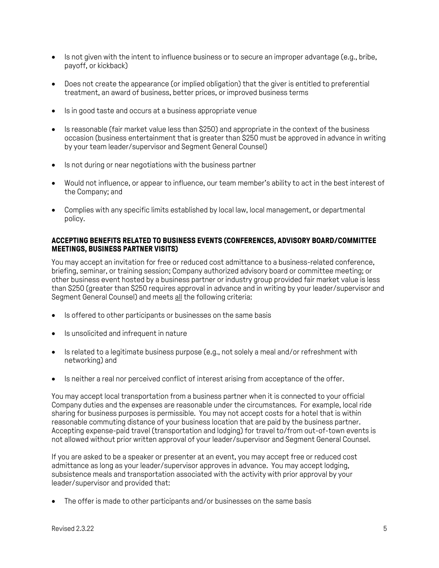- Is not given with the intent to influence business or to secure an improper advantage (e.g., bribe, payoff, or kickback)
- Does not create the appearance (or implied obligation) that the giver is entitled to preferential treatment, an award of business, better prices, or improved business terms
- Is in good taste and occurs at a business appropriate venue
- Is reasonable (fair market value less than \$250) and appropriate in the context of the business occasion (business entertainment that is greater than \$250 must be approved in advance in writing by your team leader/supervisor and Segment General Counsel)
- Is not during or near negotiations with the business partner
- Would not influence, or appear to influence, our team member's ability to act in the best interest of the Company; and
- Complies with any specific limits established by local law, local management, or departmental policy.

#### **ACCEPTING BENEFITS RELATED TO BUSINESS EVENTS (CONFERENCES, ADVISORY BOARD/COMMITTEE MEETINGS, BUSINESS PARTNER VISITS)**

You may accept an invitation for free or reduced cost admittance to a business-related conference, briefing, seminar, or training session; Company authorized advisory board or committee meeting; or other business event hosted by a business partner or industry group provided fair market value is less than \$250 (greater than \$250 requires approval in advance and in writing by your leader/supervisor and Segment General Counsel) and meets all the following criteria:

- **IS offered to other participants or businesses on the same basis**
- Is unsolicited and infrequent in nature
- $\bullet$  Is related to a legitimate business purpose (e.g., not solely a meal and/or refreshment with networking) and
- Is neither a real nor perceived conflict of interest arising from acceptance of the offer.

You may accept local transportation from a business partner when it is connected to your official Company duties and the expenses are reasonable under the circumstances. For example, local ride sharing for business purposes is permissible. You may not accept costs for a hotel that is within reasonable commuting distance of your business location that are paid by the business partner. Accepting expense-paid travel (transportation and lodging) for travel to/from out-of-town events is not allowed without prior written approval of your leader/supervisor and Segment General Counsel.

If you are asked to be a speaker or presenter at an event, you may accept free or reduced cost admittance as long as your leader/supervisor approves in advance. You may accept lodging, subsistence meals and transportation associated with the activity with prior approval by your leader/supervisor and provided that:

The offer is made to other participants and/or businesses on the same basis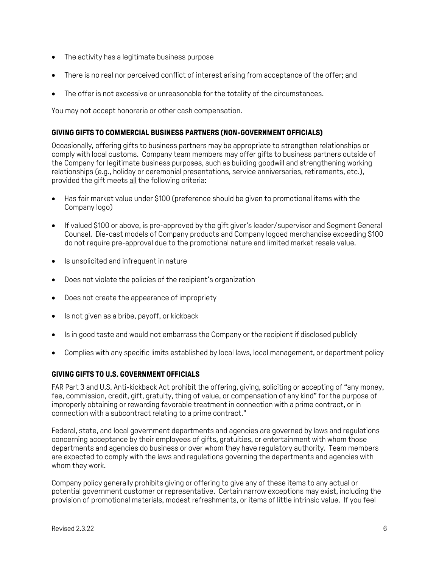- The activity has a legitimate business purpose
- There is no real nor perceived conflict of interest arising from acceptance of the offer; and
- The offer is not excessive or unreasonable for the totality of the circumstances.

You may not accept honoraria or other cash compensation.

### **GIVING GIFTS TO COMMERCIAL BUSINESS PARTNERS (NON-GOVERNMENT OFFICIALS)**

Occasionally, offering gifts to business partners may be appropriate to strengthen relationships or comply with local customs. Company team members may offer gifts to business partners outside of the Company for legitimate business purposes, such as building goodwill and strengthening working relationships (e.g., holiday or ceremonial presentations, service anniversaries, retirements, etc.), provided the gift meets all the following criteria:

- Has fair market value under \$100 (preference should be given to promotional items with the Company logo)
- If valued \$100 or above, is pre-approved by the gift giver's leader/supervisor and Segment General Counsel. Die-cast models of Company products and Company logoed merchandise exceeding \$100 do not require pre-approval due to the promotional nature and limited market resale value.
- Is unsolicited and infrequent in nature
- Does not violate the policies of the recipient's organization
- Does not create the appearance of impropriety
- Is not given as a bribe, payoff, or kickback
- Is in good taste and would not embarrass the Company or the recipient if disclosed publicly
- Complies with any specific limits established by local laws, local management, or department policy

#### **GIVING GIFTS TO U.S. GOVERNMENT OFFICIALS**

FAR Part 3 and U.S. Anti-kickback Act prohibit the offering, giving, soliciting or accepting of "any money, fee, commission, credit, gift, gratuity, thing of value, or compensation of any kind" for the purpose of improperly obtaining or rewarding favorable treatment in connection with a prime contract, or in connection with a subcontract relating to a prime contract."

Federal, state, and local government departments and agencies are governed by laws and regulations concerning acceptance by their employees of gifts, gratuities, or entertainment with whom those departments and agencies do business or over whom they have regulatory authority. Team members are expected to comply with the laws and regulations governing the departments and agencies with whom they work.

Company policy generally prohibits giving or offering to give any of these items to any actual or potential government customer or representative. Certain narrow exceptions may exist, including the provision of promotional materials, modest refreshments, or items of little intrinsic value. If you feel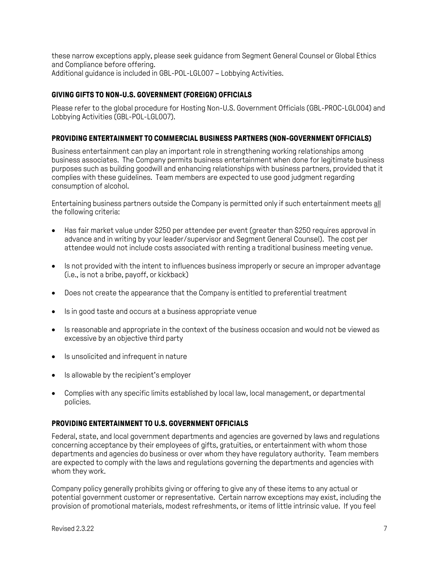these narrow exceptions apply, please seek guidance from Segment General Counsel or Global Ethics and Compliance before offering. Additional guidance is included in GBL-POL-LGL007 – Lobbying Activities.

# **GIVING GIFTS TO NON-U.S. GOVERNMENT (FOREIGN) OFFICIALS**

Please refer to the global procedure for Hosting Non-U.S. Government Officials (GBL-PROC-LGL004) and Lobbying Activities (GBL-POL-LGL007).

### **PROVIDING ENTERTAINMENT TO COMMERCIAL BUSINESS PARTNERS (NON-GOVERNMENT OFFICIALS)**

Business entertainment can play an important role in strengthening working relationships among business associates. The Company permits business entertainment when done for legitimate business purposes such as building goodwill and enhancing relationships with business partners, provided that it complies with these guidelines. Team members are expected to use good judgment regarding consumption of alcohol.

Entertaining business partners outside the Company is permitted only if such entertainment meets all the following criteria:

- Has fair market value under \$250 per attendee per event (greater than \$250 requires approval in advance and in writing by your leader/supervisor and Segment General Counsel). The cost per attendee would not include costs associated with renting a traditional business meeting venue.
- Is not provided with the intent to influences business improperly or secure an improper advantage (i.e., is not a bribe, payoff, or kickback)
- Does not create the appearance that the Company is entitled to preferential treatment
- Is in good taste and occurs at a business appropriate venue
- Is reasonable and appropriate in the context of the business occasion and would not be viewed as excessive by an objective third party
- Is unsolicited and infrequent in nature
- Is allowable by the recipient's employer
- Complies with any specific limits established by local law, local management, or departmental policies.

## **PROVIDING ENTERTAINMENT TO U.S. GOVERNMENT OFFICIALS**

Federal, state, and local government departments and agencies are governed by laws and regulations concerning acceptance by their employees of gifts, gratuities, or entertainment with whom those departments and agencies do business or over whom they have regulatory authority. Team members are expected to comply with the laws and regulations governing the departments and agencies with whom they work.

Company policy generally prohibits giving or offering to give any of these items to any actual or potential government customer or representative. Certain narrow exceptions may exist, including the provision of promotional materials, modest refreshments, or items of little intrinsic value. If you feel